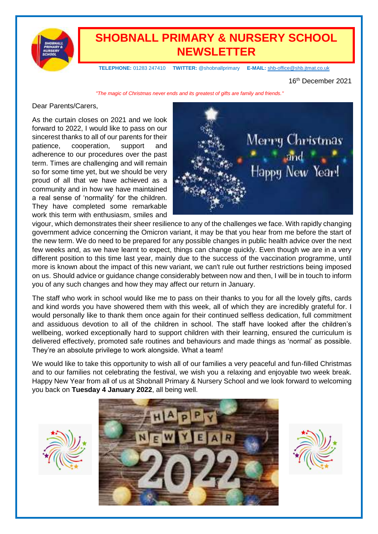

## **SHOBNALL PRIMARY & NURSERY SCHOOL NEWSLETTER**

 **TELEPHONE:** 01283 247410 **TWITTER:** @shobnallprimary **E-MAIL:** [shb-office@shb.jtmat.co.uk](mailto:shb-office@shb.jtmat.co.uk)

16th December 2021

*"The magic of Christmas never ends and its greatest of gifts are family and friends."*

#### Dear Parents/Carers,

As the curtain closes on 2021 and we look forward to 2022, I would like to pass on our sincerest thanks to all of our parents for their patience, cooperation, support and adherence to our procedures over the past term. Times are challenging and will remain so for some time yet, but we should be very proud of all that we have achieved as a community and in how we have maintained a real sense of 'normality' for the children. They have completed some remarkable work this term with enthusiasm, smiles and



vigour, which demonstrates their sheer resilience to any of the challenges we face. With rapidly changing government advice concerning the Omicron variant, it may be that you hear from me before the start of the new term. We do need to be prepared for any possible changes in public health advice over the next few weeks and, as we have learnt to expect, things can change quickly. Even though we are in a very different position to this time last year, mainly due to the success of the vaccination programme, until more is known about the impact of this new variant, we can't rule out further restrictions being imposed on us. Should advice or guidance change considerably between now and then, I will be in touch to inform you of any such changes and how they may affect our return in January.

The staff who work in school would like me to pass on their thanks to you for all the lovely gifts, cards and kind words you have showered them with this week, all of which they are incredibly grateful for. I would personally like to thank them once again for their continued selfless dedication, full commitment and assiduous devotion to all of the children in school. The staff have looked after the children's wellbeing, worked exceptionally hard to support children with their learning, ensured the curriculum is delivered effectively, promoted safe routines and behaviours and made things as 'normal' as possible. They're an absolute privilege to work alongside. What a team!

We would like to take this opportunity to wish all of our families a very peaceful and fun-filled Christmas and to our families not celebrating the festival, we wish you a relaxing and enjoyable two week break. Happy New Year from all of us at Shobnall Primary & Nursery School and we look forward to welcoming you back on **Tuesday 4 January 2022**, all being well.





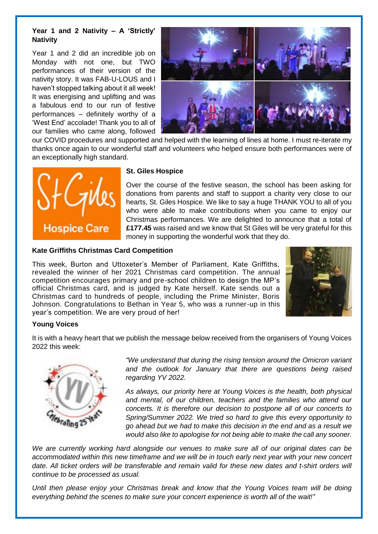#### **Year 1 and 2 Nativity – A 'Strictly' Nativity**

Year 1 and 2 did an incredible job on Monday with not one, but TWO performances of their version of the nativity story. It was FAB-U-LOUS and I haven't stopped talking about it all week! It was energising and uplifting and was a fabulous end to our run of festive performances – definitely worthy of a 'West End' accolade! Thank you to all of our families who came along, followed



our COVID procedures and supported and helped with the learning of lines at home. I must re-iterate my thanks once again to our wonderful staff and volunteers who helped ensure both performances were of an exceptionally high standard.



#### **St. Giles Hospice**

Over the course of the festive season, the school has been asking for donations from parents and staff to support a charity very close to our hearts, St. Giles Hospice. We like to say a huge THANK YOU to all of you who were able to make contributions when you came to enjoy our Christmas performances. We are delighted to announce that a total of **£177.45** was raised and we know that St Giles will be very grateful for this money in supporting the wonderful work that they do.

#### **Kate Griffiths Christmas Card Competition**

This week, Burton and Uttoxeter's Member of Parliament, Kate Griffiths, revealed the winner of her 2021 Christmas card competition. The annual competition encourages primary and pre-school children to design the MP's official Christmas card, and is judged by Kate herself. Kate sends out a Christmas card to hundreds of people, including the Prime Minister, Boris Johnson. Congratulations to Bethan in Year 5, who was a runner-up in this year's competition. We are very proud of her!



### **Young Voices**

It is with a heavy heart that we publish the message below received from the organisers of Young Voices 2022 this week:



*"We understand that during the rising tension around the Omicron variant and the outlook for January that there are questions being raised regarding YV 2022.*

*As always, our priority here at Young Voices is the health, both physical and mental, of our children, teachers and the families who attend our concerts. It is therefore our decision to postpone all of our concerts to Spring/Summer 2022. We tried so hard to give this every opportunity to go ahead but we had to make this decision in the end and as a result we would also like to apologise for not being able to make the call any sooner.*

*We are currently working hard alongside our venues to make sure all of our original dates can be* accommodated within this new timeframe and we will be in touch early next year with your new concert date. All ticket orders will be transferable and remain valid for these new dates and t-shirt orders will *continue to be processed as usual.*

*Until then please enjoy your Christmas break and know that the Young Voices team will be doing everything behind the scenes to make sure your concert experience is worth all of the wait!"*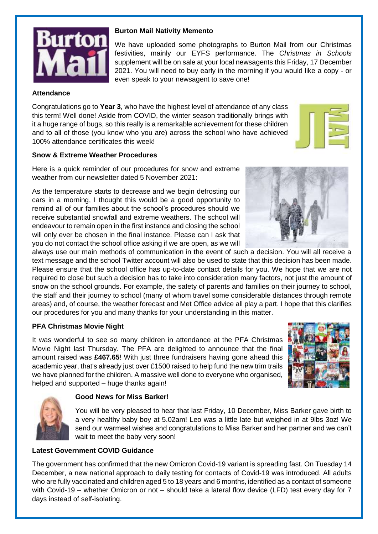

### **Burton Mail Nativity Memento**

We have uploaded some photographs to Burton Mail from our Christmas festivities, mainly our EYFS performance. The *Christmas in Schools* supplement will be on sale at your local newsagents this Friday, 17 December 2021. You will need to buy early in the morning if you would like a copy - or even speak to your newsagent to save one!

#### **Attendance**

Congratulations go to **Year 3**, who have the highest level of attendance of any class this term! Well done! Aside from COVID, the winter season traditionally brings with it a huge range of bugs, so this really is a remarkable achievement for these children and to all of those (you know who you are) across the school who have achieved 100% attendance certificates this week!

#### **Snow & Extreme Weather Procedures**

Here is a quick reminder of our procedures for snow and extreme weather from our newsletter dated 5 November 2021:

As the temperature starts to decrease and we begin defrosting our cars in a morning, I thought this would be a good opportunity to remind all of our families about the school's procedures should we receive substantial snowfall and extreme weathers. The school will endeavour to remain open in the first instance and closing the school will only ever be chosen in the final instance. Please can I ask that you do not contact the school office asking if we are open, as we will

always use our main methods of communication in the event of such a decision. You will all receive a text message and the school Twitter account will also be used to state that this decision has been made. Please ensure that the school office has up-to-date contact details for you. We hope that we are not required to close but such a decision has to take into consideration many factors, not just the amount of snow on the school grounds. For example, the safety of parents and families on their journey to school, the staff and their journey to school (many of whom travel some considerable distances through remote areas) and, of course, the weather forecast and Met Office advice all play a part. I hope that this clarifies our procedures for you and many thanks for your understanding in this matter.

#### **PFA Christmas Movie Night**

It was wonderful to see so many children in attendance at the PFA Christmas Movie Night last Thursday. The PFA are delighted to announce that the final amount raised was **£467.65**! With just three fundraisers having gone ahead this academic year, that's already just over £1500 raised to help fund the new trim trails we have planned for the children. A massive well done to everyone who organised, helped and supported – huge thanks again!



#### **Good News for Miss Barker!**

You will be very pleased to hear that last Friday, 10 December, Miss Barker gave birth to a very healthy baby boy at 5.02am! Leo was a little late but weighed in at 9lbs 3oz! We send our warmest wishes and congratulations to Miss Barker and her partner and we can't wait to meet the baby very soon!

### **Latest Government COVID Guidance**

The government has confirmed that the new Omicron Covid-19 variant is spreading fast. On Tuesday 14 December, a new national approach to daily testing for contacts of Covid-19 was introduced. All adults who are fully vaccinated and children aged 5 to 18 years and 6 months, identified as a contact of someone with Covid-19 – whether Omicron or not – should take a lateral flow device (LFD) test every day for 7 days instead of self-isolating.



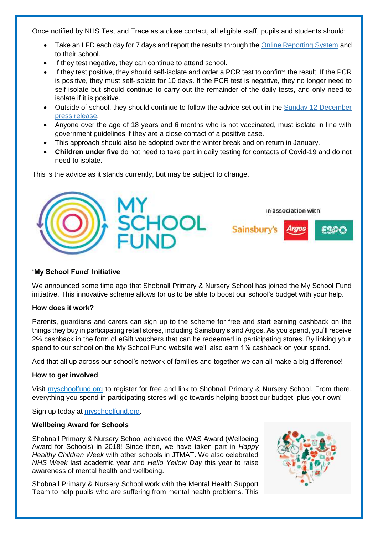Once notified by NHS Test and Trace as a close contact, all eligible staff, pupils and students should:

- Take an LFD each day for 7 days and report the results through the Online [Reporting](https://www.gov.uk/report-covid19-result?utm_source=13%20December%202021%20C19&utm_medium=Daily%20Email%20C19&utm_campaign=DfE%20C19) System and to their school.
- If they test negative, they can continue to attend school.
- If they test positive, they should self-isolate and order a PCR test to confirm the result. If the PCR is positive, they must self-isolate for 10 days. If the PCR test is negative, they no longer need to self-isolate but should continue to carry out the remainder of the daily tests, and only need to isolate if it is positive.
- Outside of school, they should continue to follow the advice set out in the Sunday 12 [December](https://www.gov.uk/government/news/daily-rapid-testing-for-covid-19-contacts-launches-this-week?utm_source=13%20December%202021%20C19&utm_medium=Daily%20Email%20C19&utm_campaign=DfE%20C19) press [release.](https://www.gov.uk/government/news/daily-rapid-testing-for-covid-19-contacts-launches-this-week?utm_source=13%20December%202021%20C19&utm_medium=Daily%20Email%20C19&utm_campaign=DfE%20C19)
- Anyone over the age of 18 years and 6 months who is not vaccinated, must isolate in line with government guidelines if they are a close contact of a positive case.
- This approach should also be adopted over the winter break and on return in January.
- **Children under five** do not need to take part in daily testing for contacts of Covid-19 and do not need to isolate.

This is the advice as it stands currently, but may be subject to change.



### **'My School Fund' Initiative**

We announced some time ago that Shobnall Primary & Nursery School has joined the My School Fund initiative. This innovative scheme allows for us to be able to boost our school's budget with your help.

#### **How does it work?**

Parents, guardians and carers can sign up to the scheme for free and start earning cashback on the things they buy in participating retail stores, including Sainsbury's and Argos. As you spend, you'll receive 2% cashback in the form of eGift vouchers that can be redeemed in participating stores. By linking your spend to our school on the My School Fund website we'll also earn 1% cashback on your spend.

Add that all up across our school's network of families and together we can all make a big difference!

#### **How to get involved**

Visit myschoolfund.org to register for free and link to Shobnall Primary & Nursery School. From there, everything you spend in participating stores will go towards helping boost our budget, plus your own!

Sign up today at [myschoolfund.org.](http://www.myschoolfund.org/)

#### **Wellbeing Award for Schools**

Shobnall Primary & Nursery School achieved the WAS Award (Wellbeing Award for Schools) in 2018! Since then, we have taken part in *Happy Healthy Children Week* with other schools in JTMAT. We also celebrated *NHS Week* last academic year and *Hello Yellow Day* this year to raise awareness of mental health and wellbeing.

Shobnall Primary & Nursery School work with the Mental Health Support Team to help pupils who are suffering from mental health problems. This

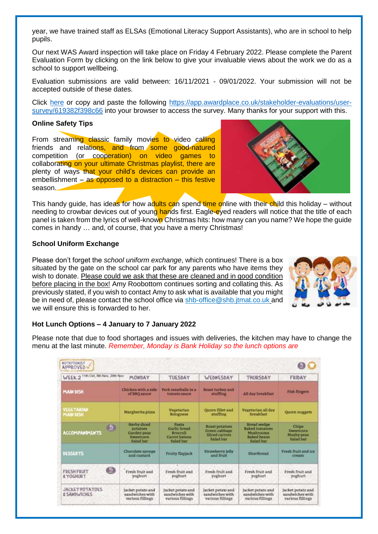year, we have trained staff as ELSAs (Emotional Literacy Support Assistants), who are in school to help pupils.

Our next WAS Award inspection will take place on Friday 4 February 2022. Please complete the Parent Evaluation Form by clicking on the link below to give your invaluable views about the work we do as a school to support wellbeing.

Evaluation submissions are valid between: 16/11/2021 - 09/01/2022. Your submission will not be accepted outside of these dates.

Click [here](https://app.awardplace.co.uk/stakeholder-evaluations/user-survey/619382f398c66) or copy and paste the following [https://app.awardplace.co.uk/stakeholder-evaluations/user](https://app.awardplace.co.uk/stakeholder-evaluations/user-survey/619382f398c66)[survey/619382f398c66](https://app.awardplace.co.uk/stakeholder-evaluations/user-survey/619382f398c66) into your browser to access the survey. Many thanks for your support with this.

#### **Online Safety Tips**

From streaming classic family movies to video calling friends and relations, and from some good-natured competition (or cooperation) on video games to collaborating on your ultimate Christmas playlist, there are plenty of ways that your child's devices can provide an embellishment – as opposed to a distraction – this festive season.



This handy guide, has ideas for how adults can spend time online with their child this holiday – without needing to crowbar devices out of young hands first. Eagle-eyed readers will notice that the title of each panel is taken from the lyrics of well-known Christmas hits: how many can you name? We hope the guide comes in handy … and, of course, that you have a merry Christmas!

#### **School Uniform Exchange**

Please don't forget the *school uniform exchange*, which continues! There is a box situated by the gate on the school car park for any parents who have items they wish to donate. Please could we ask that these are cleaned and in good condition before placing in the box! Amy Roobottom continues sorting and collating this. As previously stated, if you wish to contact Amy to ask what is available that you might be in need of, please contact the school office via [shb-office@shb.jtmat.co.uk](mailto:shb-office@shb.jtmat.co.uk) and we will ensure this is forwarded to her.



#### **Hot Lunch Options – 4 January to 7 January 2022**

Please note that due to food shortages and issues with deliveries, the kitchen may have to change the menu at the last minute. *Remember, Monday is Bank Holiday so the lunch options are*

| 11th Oct, 8th Nov, 29th Nov<br>WEEK <sub>2</sub>    | MONDAY                                                                  | <b>TUESDAY</b>                                                         | WEDNESDAY                                                      | THURSDAY                                                                             | FRIDAY                                                   |
|-----------------------------------------------------|-------------------------------------------------------------------------|------------------------------------------------------------------------|----------------------------------------------------------------|--------------------------------------------------------------------------------------|----------------------------------------------------------|
| <b>MAIN DISH</b>                                    | Chiclonn with a ride<br>of BBQ sauce                                    | Pork meathalls in a<br>tomato sauce                                    | Roast turkey and<br>stuffing                                   | All day breakfast                                                                    | Fish fingers                                             |
| VEGETARIAN<br><b>MAIN DISH</b>                      | Margherita pizza                                                        | Vegetarian<br>Bolognese                                                | <b>Quorn</b> fillet and<br>stuffing                            | Vegetarian all day<br>breakfast                                                      | Quorn nuggets                                            |
| Œ<br><b>ACCOMPANIMENTS</b>                          | Herby diced<br>potatoes<br>Garden peas<br><b>Sweetcorn</b><br>Salad bar | <b>Pasta</b><br>Garlie herad<br>Broccoli<br>Carrot batons<br>Salad bar | Roast potatoes<br>Green cabbage<br>Sliced carrots<br>Salad bar | Bread wedge<br><b>Baked tomatoes</b><br>Mushrooms<br><b>Baked</b> beans<br>Salad bar | Chips<br><b>Sweetcorn</b><br>Mushy peas<br>Salad bar     |
| <b>DESSERTS</b>                                     | Chocolate sponge<br>and custard.                                        | Fruity flapjack                                                        | Strawberry jelly<br>and fruit                                  | Shortbread                                                                           | Fresh fruit and ice<br>cream                             |
| 6<br><b>FRESH FRUIT</b><br><b>E YOGHURT</b>         | Fresh fruit and<br>voghurt                                              | Fresh fruit and<br>yoghurt                                             | Fresh fruit and<br>yoghurt                                     | Fresh fruit and<br>yoghurt                                                           | Fresh fruit and<br>yoghurt                               |
| <b>JACKET POTATOES</b><br><b><i>ESANDWICHES</i></b> | Jacket potato and<br>sandwiches with<br>various fillings                | Jacket potato and<br>sandwiches with<br>various fillings               | Jacket potato and<br>sandwiches with<br>various fillings       | Jacket potato and<br>sandwiches with<br>various fillings                             | Jacket potato and<br>sandwiches with<br>various fillings |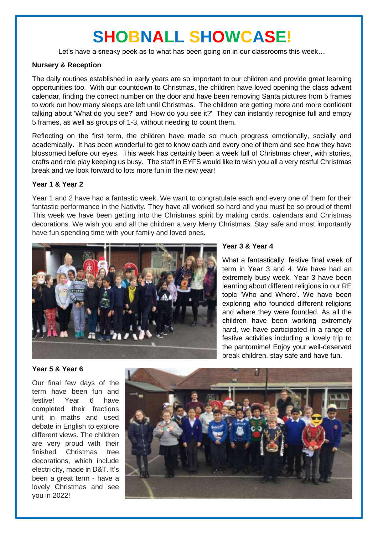# **SHOBNALL SHOWCASE!**

Let's have a sneaky peek as to what has been going on in our classrooms this week…

#### **Nursery & Reception**

The daily routines established in early years are so important to our children and provide great learning opportunities too. With our countdown to Christmas, the children have loved opening the class advent calendar, finding the correct number on the door and have been removing Santa pictures from 5 frames to work out how many sleeps are left until Christmas. The children are getting more and more confident talking about 'What do you see?' and 'How do you see it?' They can instantly recognise full and empty 5 frames, as well as groups of 1-3, without needing to count them.

Reflecting on the first term, the children have made so much progress emotionally, socially and academically. It has been wonderful to get to know each and every one of them and see how they have blossomed before our eyes. This week has certainly been a week full of Christmas cheer, with stories, crafts and role play keeping us busy. The staff in EYFS would like to wish you all a very restful Christmas break and we look forward to lots more fun in the new year!

#### **Year 1 & Year 2**

Year 1 and 2 have had a fantastic week. We want to congratulate each and every one of them for their fantastic performance in the Nativity. They have all worked so hard and you must be so proud of them! This week we have been getting into the Christmas spirit by making cards, calendars and Christmas decorations. We wish you and all the children a very Merry Christmas. Stay safe and most importantly have fun spending time with your family and loved ones.



### **Year 3 & Year 4**

What a fantastically, festive final week of term in Year 3 and 4. We have had an extremely busy week. Year 3 have been learning about different religions in our RE topic 'Who and Where'. We have been exploring who founded different religions and where they were founded. As all the children have been working extremely hard, we have participated in a range of festive activities including a lovely trip to the pantomime! Enjoy your well-deserved break children, stay safe and have fun.

#### **Year 5 & Year 6**

Our final few days of the term have been fun and festive! Year 6 have completed their fractions unit in maths and used debate in English to explore different views. The children are very proud with their finished Christmas tree decorations, which include electri city, made in D&T. It's been a great term - have a lovely Christmas and see you in 2022!

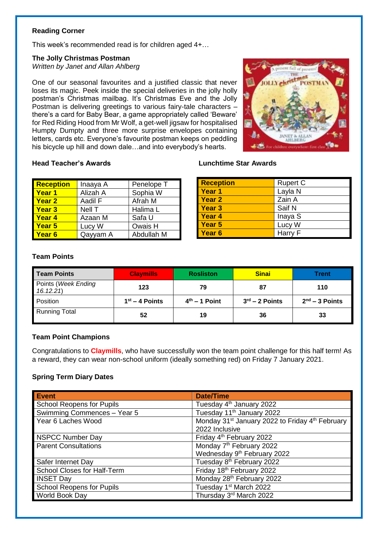#### **Reading Corner**

This week's recommended read is for children aged 4+…

#### **The Jolly Christmas Postman**

*Written by Janet and Allan Ahlberg*

One of our seasonal favourites and a justified classic that never loses its magic. Peek inside the special deliveries in the jolly holly postman's Christmas mailbag. It's Christmas Eve and the Jolly Postman is delivering greetings to various fairy-tale characters – there's a card for Baby Bear, a game appropriately called 'Beware' for Red Riding Hood from Mr Wolf, a get-well jigsaw for hospitalised Humpty Dumpty and three more surprise envelopes containing letters, cards etc. Everyone's favourite postman keeps on peddling his bicycle up hill and down dale…and into everybody's hearts.



#### **Head Teacher's Awards Lunchtime Star Awards**

| <b>Reception</b>  | Inaaya A | Penelope T |
|-------------------|----------|------------|
| <b>Year 1</b>     | Alizah A | Sophia W   |
| <b>Year 2</b>     | Aadil F  | Afrah M    |
| <b>Year 3</b>     | Nell T   | Halima L   |
| <b>Year 4</b>     | Azaan M  | Safa U     |
| Year 5            | Lucy W   | Owais H    |
| Year <sub>6</sub> | Qayyam A | Abdullah M |

| <b>Reception</b>  | <b>Rupert C</b> |
|-------------------|-----------------|
| Year 1            | Layla N         |
| <b>Year 2</b>     | Zain A          |
| <b>Year 3</b>     | Saif N          |
| <b>Year 4</b>     | Inaya S         |
| <b>Year 5</b>     | Lucy W          |
| Year <sub>6</sub> | Harry F         |

#### **Team Points**

| Team Points                     | <b>Claymills</b> | <b>Rosliston</b> | <b>Sinai</b>     | Trent            |
|---------------------------------|------------------|------------------|------------------|------------------|
| Points (Week Ending<br>16.12.21 | 123              | 79               | 87               | 110              |
| Position                        | $1st - 4$ Points | $4th - 1$ Point  | $3rd - 2$ Points | $2nd - 3$ Points |
| <b>Running Total</b>            | 52               | 19               | 36               | 33               |

#### **Team Point Champions**

Congratulations to **Claymills**, who have successfully won the team point challenge for this half term! As a reward, they can wear non-school uniform (ideally something red) on Friday 7 January 2021.

#### **Spring Term Diary Dates**

| <b>Event</b>                     | <b>Date/Time</b>                                                        |
|----------------------------------|-------------------------------------------------------------------------|
| <b>School Reopens for Pupils</b> | Tuesday 4 <sup>th</sup> January 2022                                    |
| Swimming Commences - Year 5      | Tuesday 11 <sup>th</sup> January 2022                                   |
| Year 6 Laches Wood               | Monday 31 <sup>st</sup> January 2022 to Friday 4 <sup>th</sup> February |
|                                  | 2022 Inclusive                                                          |
| <b>NSPCC Number Day</b>          | Friday 4 <sup>th</sup> February 2022                                    |
| <b>Parent Consultations</b>      | Monday 7 <sup>th</sup> February 2022                                    |
|                                  | Wednesday 9th February 2022                                             |
| Safer Internet Day               | Tuesday 8 <sup>th</sup> February 2022                                   |
| School Closes for Half-Term      | Friday 18th February 2022                                               |
| <b>INSET Day</b>                 | Monday 28th February 2022                                               |
| <b>School Reopens for Pupils</b> | Tuesday 1 <sup>st</sup> March 2022                                      |
| World Book Day                   | Thursday 3rd March 2022                                                 |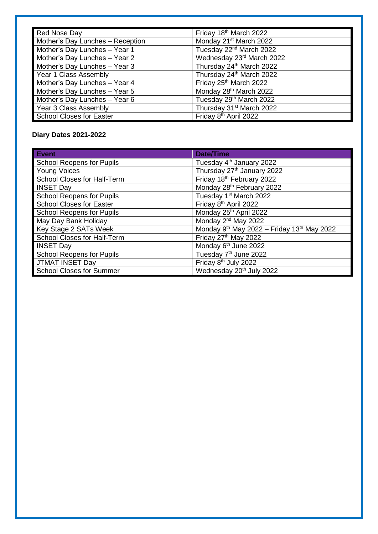| Red Nose Day                     | Friday 18th March 2022               |
|----------------------------------|--------------------------------------|
| Mother's Day Lunches - Reception | Monday 21 <sup>st</sup> March 2022   |
| Mother's Day Lunches - Year 1    | Tuesday 22 <sup>nd</sup> March 2022  |
| Mother's Day Lunches - Year 2    | Wednesday 23rd March 2022            |
| Mother's Day Lunches - Year 3    | Thursday 24 <sup>th</sup> March 2022 |
| Year 1 Class Assembly            | Thursday 24 <sup>th</sup> March 2022 |
| Mother's Day Lunches - Year 4    | Friday 25th March 2022               |
| Mother's Day Lunches - Year 5    | Monday 28th March 2022               |
| Mother's Day Lunches - Year 6    | Tuesday 29th March 2022              |
| Year 3 Class Assembly            | Thursday 31 <sup>st</sup> March 2022 |
| <b>School Closes for Easter</b>  | Friday 8 <sup>th</sup> April 2022    |

### **Diary Dates 2021-2022**

| <b>Event</b>                     | <b>Date/Time</b>                           |
|----------------------------------|--------------------------------------------|
| <b>School Reopens for Pupils</b> | Tuesday 4 <sup>th</sup> January 2022       |
| <b>Young Voices</b>              | Thursday 27 <sup>th</sup> January 2022     |
| School Closes for Half-Term      | Friday 18th February 2022                  |
| <b>INSET Day</b>                 | Monday 28th February 2022                  |
| <b>School Reopens for Pupils</b> | Tuesday 1 <sup>st</sup> March 2022         |
| <b>School Closes for Easter</b>  | Friday 8 <sup>th</sup> April 2022          |
| <b>School Reopens for Pupils</b> | Monday 25th April 2022                     |
| May Day Bank Holiday             | Monday 2 <sup>nd</sup> May 2022            |
| Key Stage 2 SATs Week            | Monday 9th May 2022 - Friday 13th May 2022 |
| School Closes for Half-Term      | Friday 27th May 2022                       |
| <b>INSET Day</b>                 | Monday 6 <sup>th</sup> June 2022           |
| <b>School Reopens for Pupils</b> | Tuesday 7 <sup>th</sup> June 2022          |
| <b>JTMAT INSET Day</b>           | Friday 8 <sup>th</sup> July 2022           |
| <b>School Closes for Summer</b>  | Wednesday 20 <sup>th</sup> July 2022       |